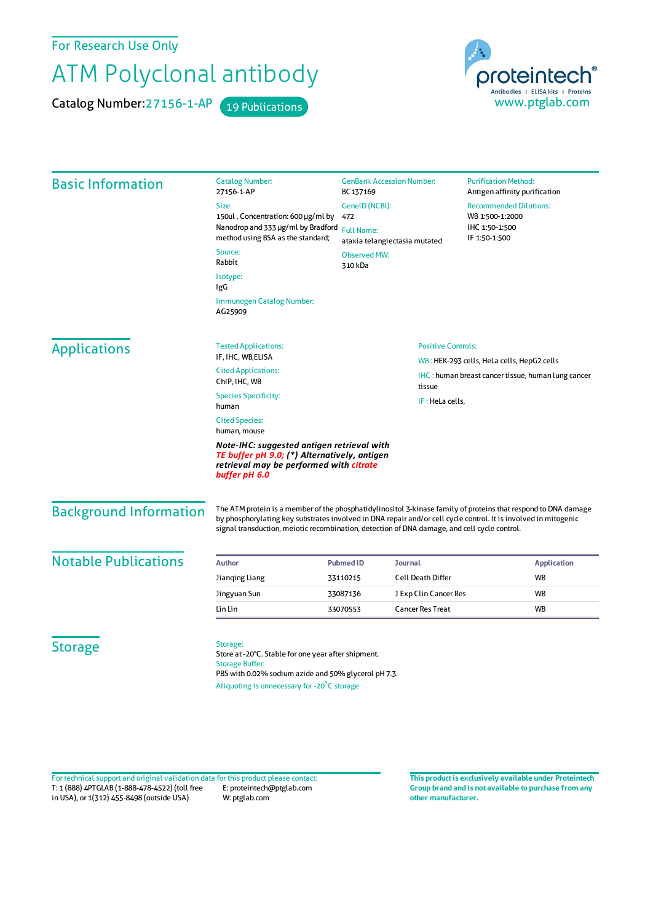For Research Use Only

## ATM Polyclonal antibody

Catalog Number: 27156-1-AP 19 Publications



| <b>Basic Information</b>      | <b>Catalog Number:</b><br>27156-1-AP                                                                                                                                                                                                                                                                                              | <b>GenBank Accession Number:</b><br>BC137169                                                                      |                          | <b>Purification Method:</b><br>Antigen affinity purification                                             |
|-------------------------------|-----------------------------------------------------------------------------------------------------------------------------------------------------------------------------------------------------------------------------------------------------------------------------------------------------------------------------------|-------------------------------------------------------------------------------------------------------------------|--------------------------|----------------------------------------------------------------------------------------------------------|
|                               | Size:<br>150ul, Concentration: 600 µg/ml by<br>method using BSA as the standard;<br>Source:                                                                                                                                                                                                                                       | GeneID (NCBI):<br>472<br>Nanodrop and 333 µg/ml by Bradford<br><b>Full Name:</b><br>ataxia telangiectasia mutated |                          | <b>Recommended Dilutions:</b><br>WB 1:500-1:2000<br>IHC 1:50-1:500<br>IF 1:50-1:500                      |
|                               | Rabbit                                                                                                                                                                                                                                                                                                                            | <b>Observed MW:</b><br>310 kDa                                                                                    |                          |                                                                                                          |
|                               | Isotype:<br>IgG                                                                                                                                                                                                                                                                                                                   |                                                                                                                   |                          |                                                                                                          |
|                               | <b>Immunogen Catalog Number:</b><br>AG25909                                                                                                                                                                                                                                                                                       |                                                                                                                   |                          |                                                                                                          |
| <b>Applications</b>           | <b>Tested Applications:</b><br>IF, IHC, WB,ELISA                                                                                                                                                                                                                                                                                  | <b>Positive Controls:</b>                                                                                         |                          |                                                                                                          |
|                               | <b>Cited Applications:</b><br>ChIP, IHC, WB                                                                                                                                                                                                                                                                                       |                                                                                                                   |                          | WB: HEK-293 cells, HeLa cells, HepG2 cells<br><b>IHC</b> : human breast cancer tissue, human lung cancer |
|                               | <b>Species Specificity:</b><br>human                                                                                                                                                                                                                                                                                              | tissue<br>IF: HeLa cells,                                                                                         |                          |                                                                                                          |
|                               | <b>Cited Species:</b><br>human, mouse                                                                                                                                                                                                                                                                                             |                                                                                                                   |                          |                                                                                                          |
|                               | Note-IHC: suggested antigen retrieval with<br>TE buffer pH 9.0; (*) Alternatively, antigen<br>retrieval may be performed with citrate<br>buffer pH 6.0                                                                                                                                                                            |                                                                                                                   |                          |                                                                                                          |
| <b>Background Information</b> | The ATM protein is a member of the phosphatidylinositol 3-kinase family of proteins that respond to DNA damage<br>by phosphorylating key substrates involved in DNA repair and/or cell cycle control. It is involved in mitogenic<br>signal transduction, meiotic recombination, detection of DNA damage, and cell cycle control. |                                                                                                                   |                          |                                                                                                          |
| <b>Notable Publications</b>   | <b>Author</b>                                                                                                                                                                                                                                                                                                                     | <b>Pubmed ID</b>                                                                                                  | Journal                  | <b>Application</b>                                                                                       |
|                               | Jianqing Liang                                                                                                                                                                                                                                                                                                                    | 33110215                                                                                                          | <b>Cell Death Differ</b> | WB                                                                                                       |
|                               | Jingyuan Sun                                                                                                                                                                                                                                                                                                                      | 33087136                                                                                                          | J Exp Clin Cancer Res    | <b>WB</b>                                                                                                |
|                               | Lin Lin                                                                                                                                                                                                                                                                                                                           | 33070553                                                                                                          | <b>Cancer Res Treat</b>  | WB                                                                                                       |
| <b>Storage</b>                | Storage:<br>Store at -20°C. Stable for one year after shipment.<br><b>Storage Buffer:</b><br>PBS with 0.02% sodium azide and 50% glycerol pH 7.3.                                                                                                                                                                                 |                                                                                                                   |                          |                                                                                                          |

T: 1 (888) 4PTGLAB (1-888-478-4522) (toll free in USA), or 1(312) 455-8498 (outside USA) E: proteintech@ptglab.com W: ptglab.com Fortechnical support and original validation data forthis product please contact: **This productis exclusively available under Proteintech**

**Group brand and is not available to purchase from any other manufacturer.**